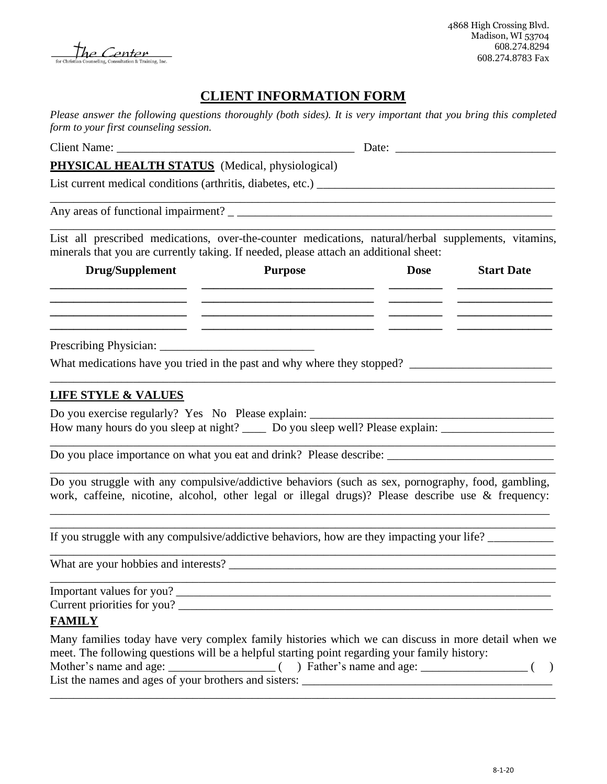The Center sultation & Training, Inc.

# **CLIENT INFORMATION FORM**

*Please answer the following questions thoroughly (both sides). It is very important that you bring this completed form to your first counseling session.* 

| PHYSICAL HEALTH STATUS (Medical, physiological)                                                                                                                                                          |                |             |                                                                                                                                                                                                                                                                                        |
|----------------------------------------------------------------------------------------------------------------------------------------------------------------------------------------------------------|----------------|-------------|----------------------------------------------------------------------------------------------------------------------------------------------------------------------------------------------------------------------------------------------------------------------------------------|
|                                                                                                                                                                                                          |                |             |                                                                                                                                                                                                                                                                                        |
|                                                                                                                                                                                                          |                |             |                                                                                                                                                                                                                                                                                        |
| List all prescribed medications, over-the-counter medications, natural/herbal supplements, vitamins,<br>minerals that you are currently taking. If needed, please attach an additional sheet:            |                |             |                                                                                                                                                                                                                                                                                        |
| Drug/Supplement                                                                                                                                                                                          | <b>Purpose</b> | <b>Dose</b> | <b>Start Date</b>                                                                                                                                                                                                                                                                      |
|                                                                                                                                                                                                          |                |             | <u> 1950 - Johann Stein, marwolaethau a bh</u><br><u>and the state of the state of the state of the state of the state of the state of the state of the state of the state of the state of the state of the state of the state of the state of the state of the state of the state</u> |
|                                                                                                                                                                                                          |                |             |                                                                                                                                                                                                                                                                                        |
| What medications have you tried in the past and why where they stopped?                                                                                                                                  |                |             |                                                                                                                                                                                                                                                                                        |
| <b>LIFE STYLE &amp; VALUES</b>                                                                                                                                                                           |                |             |                                                                                                                                                                                                                                                                                        |
| Do you exercise regularly? Yes No Please explain: ______________________________<br>How many hours do you sleep at night? _____ Do you sleep well? Please explain: ____________________                  |                |             |                                                                                                                                                                                                                                                                                        |
|                                                                                                                                                                                                          |                |             | the control of the control of the control of the control of the control of the control of                                                                                                                                                                                              |
| Do you struggle with any compulsive/addictive behaviors (such as sex, pornography, food, gambling,<br>work, caffeine, nicotine, alcohol, other legal or illegal drugs)? Please describe use & frequency: |                |             |                                                                                                                                                                                                                                                                                        |
| If you struggle with any compulsive/addictive behaviors, how are they impacting your life?                                                                                                               |                |             |                                                                                                                                                                                                                                                                                        |
| What are your hobbies and interests?                                                                                                                                                                     |                |             |                                                                                                                                                                                                                                                                                        |
| Important values for you?                                                                                                                                                                                |                |             |                                                                                                                                                                                                                                                                                        |
| <b>FAMILY</b>                                                                                                                                                                                            |                |             |                                                                                                                                                                                                                                                                                        |
| Many families today have very complex family histories which we can discuss in more detail when we<br>meet. The following questions will be a helpful starting point regarding your family history:      |                |             |                                                                                                                                                                                                                                                                                        |
| List the names and ages of your brothers and sisters:                                                                                                                                                    |                |             |                                                                                                                                                                                                                                                                                        |

\_\_\_\_\_\_\_\_\_\_\_\_\_\_\_\_\_\_\_\_\_\_\_\_\_\_\_\_\_\_\_\_\_\_\_\_\_\_\_\_\_\_\_\_\_\_\_\_\_\_\_\_\_\_\_\_\_\_\_\_\_\_\_\_\_\_\_\_\_\_\_\_\_\_\_\_\_\_\_\_\_\_\_\_\_